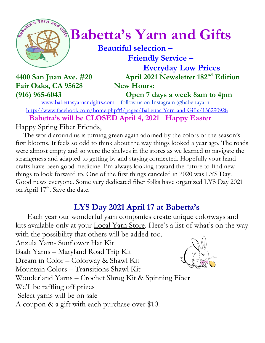

# $\int_{0}^{\infty}$  **Babetta's Yarn and Gifts**

 **Beautiful selection – Friendly Service –**

Fair Oaks, CA 95628 New Hours:

 **Everyday Low Prices 4400 San Juan Ave. #20 April 2021 Newsletter 182 nd Edition**

**(916) 965-6043 Open 7 days a week 8am to 4pm**

[www.babettasyarnandgifts.com](http://www.babettasyarnandgifts.com/) follow us on Instagram @babettayarn <http://www.facebook.com/home.php#!/pages/Babettas-Yarn-and-Gifts/136290928> **Babetta's will be CLOSED April 4, 2021 Happy Easter**

Happy Spring Fiber Friends,

 The world around us is turning green again adorned by the colors of the season's first blooms. It feels so odd to think about the way things looked a year ago. The roads were almost empty and so were the shelves in the stores as we learned to navigate the strangeness and adapted to getting by and staying connected. Hopefully your hand crafts have been good medicine. I'm always looking toward the future to find new things to look forward to. One of the first things canceled in 2020 was LYS Day. Good news everyone. Some very dedicated fiber folks have organized LYS Day 2021 on April 17<sup>th</sup>. Save the date.

## **LYS Day 2021 April 17 at Babetta's**

 Each year our wonderful yarn companies create unique colorways and kits available only at your **Local Yarn Store**. Here's a list of what's on the way with the possibility that others will be added too.

Anzula Yarn- Sunflower Hat Kit Baah Yarns – Maryland Road Trip Kit Dream in Color – Colorway & Shawl Kit Mountain Colors – Transitions Shawl Kit Wonderland Yarns – Crochet Shrug Kit & Spinning Fiber We'll be raffling off prizes Select yarns will be on sale A coupon & a gift with each purchase over \$10.

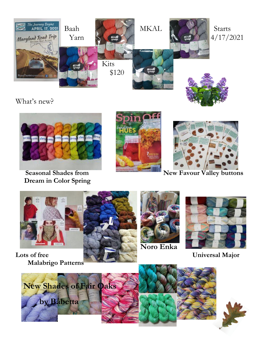

What's new?



 **Dream in Color Spring**





 **Seasonal Shades from New Favour Valley buttons** 



 **Malabrigo Patterns**





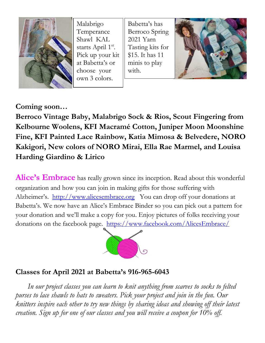

Malabrigo Temperance Shawl KAL starts April 1<sup>st</sup>. Pick up your kit at Babetta's or choose your own 3 colors.

Babetta's has Berroco Spring 2021 Yarn Tasting kits for \$15. It has 11 minis to play with.



**Coming soon…**

**Berroco Vintage Baby, Malabrigo Sock & Rios, Scout Fingering from Kelbourne Woolens, KFI Macramé Cotton, Juniper Moon Moonshine Fine, KFI Painted Lace Rainbow, Katia Mimosa & Belvedere, NORO Kakigori, New colors of NORO Mirai, Ella Rae Marmel, and Louisa Harding Giardino & Lirico**

Alice's Embrace has really grown since its inception. Read about this wonderful organization and how you can join in making gifts for those suffering with Alzheimer's. [http://www.alicesembrace.org](http://www.alicesembrace.org/) You can drop off your donations at Babetta's. We now have an Alice's Embrace Binder so you can pick out a pattern for your donation and we'll make a copy for you. Enjoy pictures of folks receiving your donations on the facebook page. <https://www.facebook.com/AlicesEmbrace/>



### **Classes for April 2021 at Babetta's 916-965-6043**

 *In our project classes you can learn to knit anything from scarves to socks to felted purses to lace shawls to hats to sweaters. Pick your project and join in the fun. Our knitters inspire each other to try new things by sharing ideas and showing off their latest creation. Sign up for one of our classes and you will receive a coupon for 10% off.*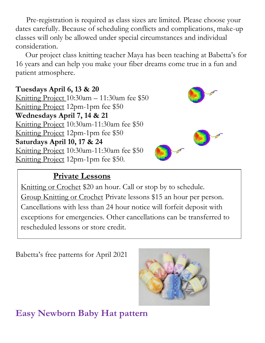Pre-registration is required as class sizes are limited. Please choose your dates carefully. Because of scheduling conflicts and complications, make-up classes will only be allowed under special circumstances and individual consideration.

Our project class knitting teacher Maya has been teaching at Babetta's for 16 years and can help you make your fiber dreams come true in a fun and patient atmosphere.

**Tuesdays April 6, 13 & 20** Knitting Project 10:30am – 11:30am fee \$50 Knitting Project 12pm-1pm fee \$50 **Wednesdays April 7, 14 & 21** Knitting Project 10:30am-11:30am fee \$50 Knitting Project 12pm-1pm fee \$50 **Saturdays April 10, 17 & 24** Knitting Project 10:30am-11:30am fee \$50 Knitting Project 12pm-1pm fee \$50.



### **Private Lessons**

Knitting or Crochet \$20 an hour. Call or stop by to schedule. Group Knitting or Crochet Private lessons \$15 an hour per person. Cancellations with less than 24 hour notice will forfeit deposit with exceptions for emergencies. Other cancellations can be transferred to rescheduled lessons or store credit.

Babetta's free patterns for April 2021



**Easy Newborn Baby Hat pattern**